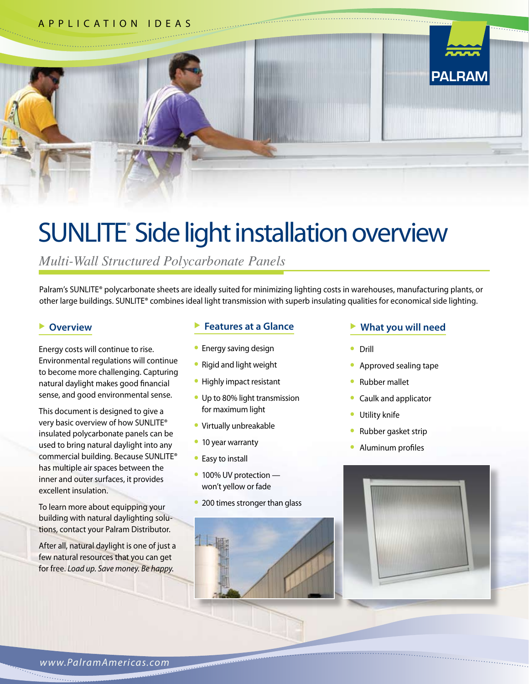

# SUNLITE® Side light installation overview

*Multi-Wall Structured Polycarbonate Panels*

Palram's SUNLITE® polycarbonate sheets are ideally suited for minimizing lighting costs in warehouses, manufacturing plants, or other large buildings. SUNLITE® combines ideal light transmission with superb insulating qualities for economical side lighting.

#### **Overview**

Energy costs will continue to rise. Environmental regulations will continue to become more challenging. Capturing natural daylight makes good financial sense, and good environmental sense.

This document is designed to give a very basic overview of how SUNLITE® insulated polycarbonate panels can be used to bring natural daylight into any commercial building. Because SUNLITE® has multiple air spaces between the inner and outer surfaces, it provides excellent insulation.

To learn more about equipping your building with natural daylighting solutions, contact your Palram Distributor.

After all, natural daylight is one of just a few natural resources that you can get for free. *Load up. Save money. Be happy.*

#### **Features** at a Glance

- **•** Energy saving design
- **•** Rigid and light weight
- **•** Highly impact resistant
- **•** Up to 80% light transmission for maximum light
- **•** Virtually unbreakable
- **•** 10 year warranty
- **•** Easy to install
- **•** 100% UV protection won't yellow or fade
- **•** 200 times stronger than glass

#### u **What you will need**

- **•** Drill
- **•** Approved sealing tape
- **•** Rubber mallet
- **•** Caulk and applicator
- **•** Utility knife
- **•** Rubber gasket strip
- **•** Aluminum profiles